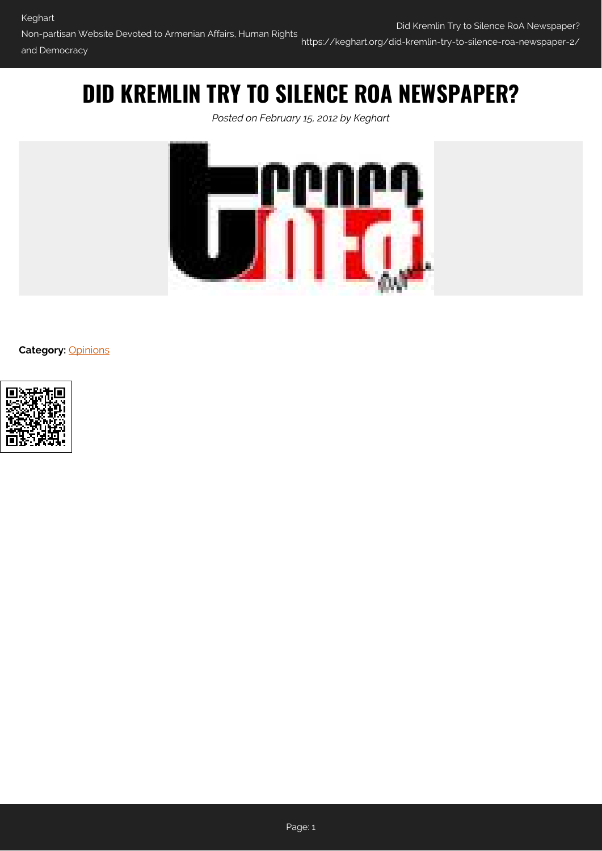## **DID KREMLIN TRY TO SILENCE ROA NEWSPAPER?**

*Posted on February 15, 2012 by Keghart*



**Category:** [Opinions](https://keghart.org/category/opinions/)



Page: 1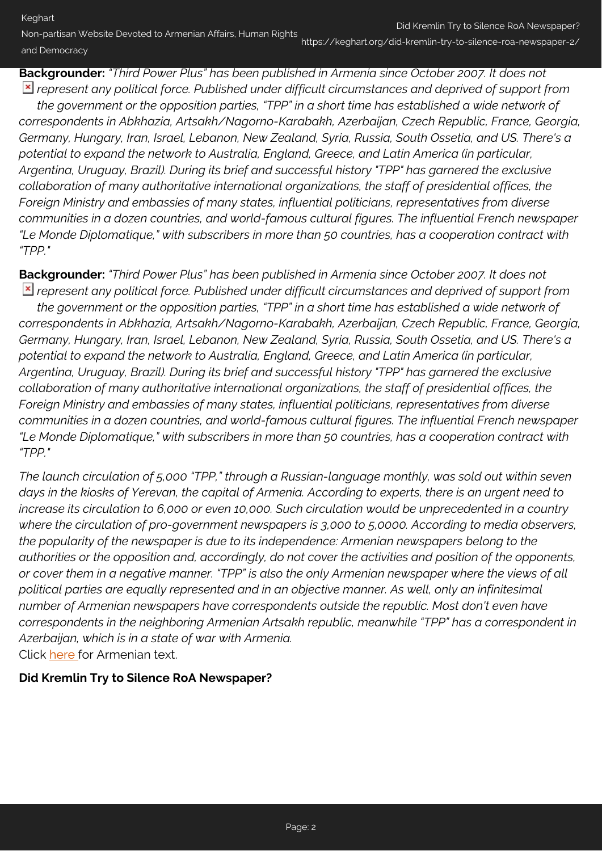Non-partisan Website Devoted to Armenian Affairs, Human Rights and Democracy https://keghart.org/did-kremlin-try-to-silence-roa-newspaper-2/

**Backgrounder:** *"Third Power Plus" has been published in Armenia since October 2007. It does not represent any political force. Published under difficult circumstances and deprived of support from*

*the government or the opposition parties, "TPP" in a short time has established a wide network of correspondents in Abkhazia, Artsakh/Nagorno-Karabakh, Azerbaijan, Czech Republic, France, Georgia, Germany, Hungary, Iran, Israel, Lebanon, New Zealand, Syria, Russia, South Ossetia, and US. There's a potential to expand the network to Australia, England, Greece, and Latin America (in particular, Argentina, Uruguay, Brazil). During its brief and successful history "TPP" has garnered the exclusive collaboration of many authoritative international organizations, the staff of presidential offices, the Foreign Ministry and embassies of many states, influential politicians, representatives from diverse communities in a dozen countries, and world-famous cultural figures. The influential French newspaper "Le Monde Diplomatique," with subscribers in more than 50 countries, has a cooperation contract with "TPP."*

**Backgrounder:** *"Third Power Plus" has been published in Armenia since October 2007. It does not represent any political force. Published under difficult circumstances and deprived of support from the government or the opposition parties, "TPP" in a short time has established a wide network of correspondents in Abkhazia, Artsakh/Nagorno-Karabakh, Azerbaijan, Czech Republic, France, Georgia, Germany, Hungary, Iran, Israel, Lebanon, New Zealand, Syria, Russia, South Ossetia, and US. There's a potential to expand the network to Australia, England, Greece, and Latin America (in particular, Argentina, Uruguay, Brazil). During its brief and successful history "TPP" has garnered the exclusive collaboration of many authoritative international organizations, the staff of presidential offices, the Foreign Ministry and embassies of many states, influential politicians, representatives from diverse communities in a dozen countries, and world-famous cultural figures. The influential French newspaper "Le Monde Diplomatique," with subscribers in more than 50 countries, has a cooperation contract with "TPP."*

*The launch circulation of 5,000 "TPP," through a Russian-language monthly, was sold out within seven days in the kiosks of Yerevan, the capital of Armenia. According to experts, there is an urgent need to increase its circulation to 6,000 or even 10,000. Such circulation would be unprecedented in a country where the circulation of pro-government newspapers is 3,000 to 5,0000. According to media observers, the popularity of the newspaper is due to its independence: Armenian newspapers belong to the authorities or the opposition and, accordingly, do not cover the activities and position of the opponents, or cover them in a negative manner. "TPP" is also the only Armenian newspaper where the views of all political parties are equally represented and in an objective manner. As well, only an infinitesimal number of Armenian newspapers have correspondents outside the republic. Most don't even have correspondents in the neighboring Armenian Artsakh republic, meanwhile "TPP" has a correspondent in Azerbaijan, which is in a state of war with Armenia.* Click [here](#page-3-0) for Armenian text.

**Did Kremlin Try to Silence RoA Newspaper?**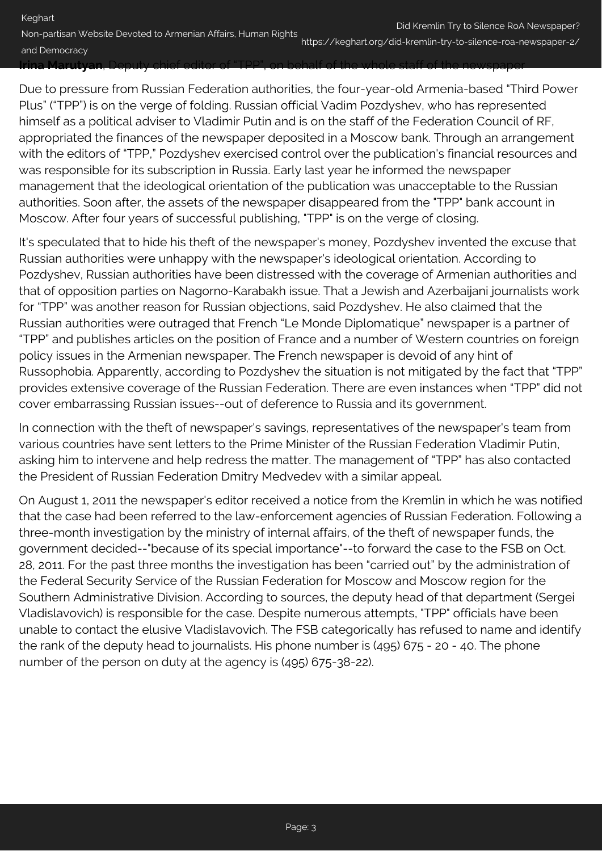Keghart Non-partisan Website Devoted to Armenian Affairs, Human Rights and Democracy Did Kremlin Try to Silence RoA Newspaper? https://keghart.org/did-kremlin-try-to-silence-roa-newspaper-2/ **Irina Marutyan**, Deputy chief editor of "TPP", on behalf of the whole staff of the newspaper

## Due to pressure from Russian Federation authorities, the four-year-old Armenia-based "Third Power Plus" ("TPP") is on the verge of folding. Russian official Vadim Pozdyshev, who has represented himself as a political adviser to Vladimir Putin and is on the staff of the Federation Council of RF, appropriated the finances of the newspaper deposited in a Moscow bank. Through an arrangement with the editors of "TPP," Pozdyshev exercised control over the publication's financial resources and was responsible for its subscription in Russia. Early last year he informed the newspaper management that the ideological orientation of the publication was unacceptable to the Russian authorities. Soon after, the assets of the newspaper disappeared from the "TPP" bank account in Moscow. After four years of successful publishing, "TPP" is on the verge of closing.

It's speculated that to hide his theft of the newspaper's money, Pozdyshev invented the excuse that Russian authorities were unhappy with the newspaper's ideological orientation. According to Pozdyshev, Russian authorities have been distressed with the coverage of Armenian authorities and that of opposition parties on Nagorno-Karabakh issue. That a Jewish and Azerbaijani journalists work for "TPP" was another reason for Russian objections, said Pozdyshev. He also claimed that the Russian authorities were outraged that French "Le Monde Diplomatique" newspaper is a partner of "TPP" and publishes articles on the position of France and a number of Western countries on foreign policy issues in the Armenian newspaper. The French newspaper is devoid of any hint of Russophobia. Apparently, according to Pozdyshev the situation is not mitigated by the fact that "TPP" provides extensive coverage of the Russian Federation. There are even instances when "TPP" did not cover embarrassing Russian issues--out of deference to Russia and its government.

In connection with the theft of newspaper's savings, representatives of the newspaper's team from various countries have sent letters to the Prime Minister of the Russian Federation Vladimir Putin, asking him to intervene and help redress the matter. The management of "TPP" has also contacted the President of Russian Federation Dmitry Medvedev with a similar appeal.

On August 1, 2011 the newspaper's editor received a notice from the Kremlin in which he was notified that the case had been referred to the law-enforcement agencies of Russian Federation. Following a three-month investigation by the ministry of internal affairs, of the theft of newspaper funds, the government decided--"because of its special importance"--to forward the case to the FSB on Oct. 28, 2011. For the past three months the investigation has been "carried out" by the administration of the Federal Security Service of the Russian Federation for Moscow and Moscow region for the Southern Administrative Division. According to sources, the deputy head of that department (Sergei Vladislavovich) is responsible for the case. Despite numerous attempts, "TPP" officials have been unable to contact the elusive Vladislavovich. The FSB categorically has refused to name and identify the rank of the deputy head to journalists. His phone number is (495) 675 - 20 - 40. The phone number of the person on duty at the agency is (495) 675-38-22).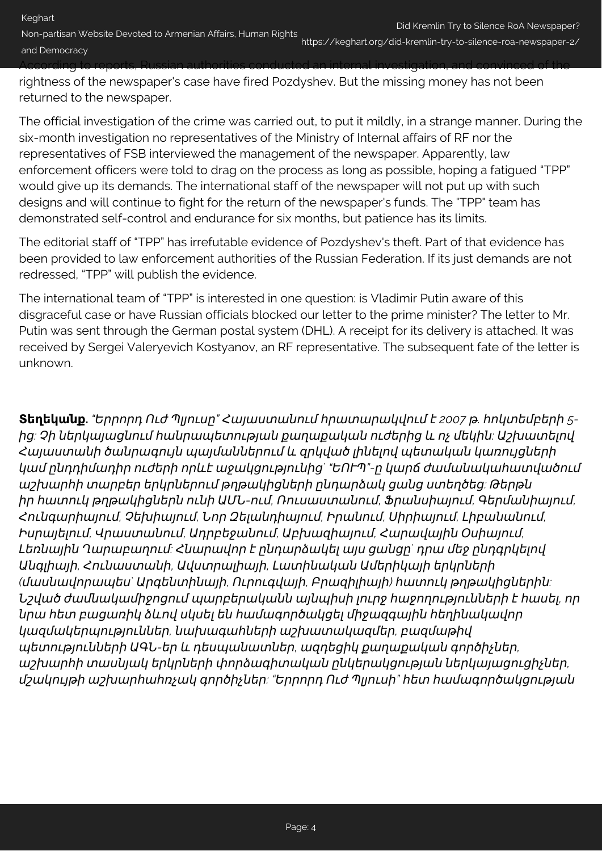Non-partisan Website Devoted to Armenian Affairs, Human Rights and Democracy https://keghart.org/did-kremlin-try-to-silence-roa-newspaper-2/ According to reports, Russian authorities conducted an internal investigation, and convinced of the

rightness of the newspaper's case have fired Pozdyshev. But the missing money has not been returned to the newspaper.

The official investigation of the crime was carried out, to put it mildly, in a strange manner. During the six-month investigation no representatives of the Ministry of Internal affairs of RF nor the representatives of FSB interviewed the management of the newspaper. Apparently, law enforcement officers were told to drag on the process as long as possible, hoping a fatigued "TPP" would give up its demands. The international staff of the newspaper will not put up with such designs and will continue to fight for the return of the newspaper's funds. The "TPP" team has demonstrated self-control and endurance for six months, but patience has its limits.

The editorial staff of "TPP" has irrefutable evidence of Pozdyshev's theft. Part of that evidence has been provided to law enforcement authorities of the Russian Federation. If its just demands are not redressed, "TPP" will publish the evidence.

The international team of "TPP" is interested in one question: is Vladimir Putin aware of this disgraceful case or have Russian officials blocked our letter to the prime minister? The letter to Mr. Putin was sent through the German postal system (DHL). A receipt for its delivery is attached. It was received by Sergei Valeryevich Kostyanov, an RF representative. The subsequent fate of the letter is unknown.

<span id="page-3-0"></span>**Տեղեկանք.** *"*Երրորդ Ուժ Պլյուսը*"* Հայաստանում հրատարակվում է *2007* թ*.* հոկտեմբերի *5* ից*:* Չի ներկայացնում հանրապետության քաղաքական ուժերից և ոչ մեկին*:* Աշխատելով Հայաստանի ծանրագույն պայմաններում և զրկված լինելով պետական կառույցների կամ ընդդիմադիր ուժերի որևէ աջակցությունից*` "*ԵՈՒՊ*"-*ը կարճ ժամանակահատվածում աշխարհի տարբեր երկրներում թղթակիցների ընդարձակ ցանց ստեղծեց*:* Թերթն իր հատուկ թղթակիցներն ունի ԱՄՆ*-*ում*,* Ռուսաստանում*,* Ֆրանսիայում*,* Գերմանիայում*,* Հունգարիայում*,* Չեխիայում*,* Նոր Զելանդիայում*,* Իրանում*,* Սիրիայում*,* Լիբանանում*,* Իսրայելում*,* Վրաստանում*,* Ադրբեջանում*,* Աբխազիայում*,* Հարավային Օսիայում*,* Լեռնային Ղարաբաղում*:* Հնարավոր է ընդարձակել այս ցանցը*`* դրա մեջ ընդգրկելով Անգլիայի*,* Հունաստանի*,* Ավստրալիայի*,* Լատինական Ամերիկայի երկրների *(*մասնավորապես*`* Արգենտինայի*,* Ուրուգվայի*,* Բրազիլիայի*)* հատուկ թղթակիցներին*:* Նշված ժամնակամիջոցում պարբերականն այնպիսի լուրջ հաջողությունների է հասել*,* որ նրա հետ բացառիկ ձևով սկսել են համագործակցել միջազգային հեղինակավոր կազմակերպություններ*,* նախագահների աշխատակազմեր*,* բազմաթիվ պետությունների ԱԳՆ*-*եր և դեսպանատներ*,* ազդեցիկ քաղաքական գործիչներ*,* աշխարհի տասնյակ երկրների փորձագիտական ընկերակցության ներկայացուցիչներ*,* մշակույթի աշխարհահռչակ գործիչներ*: "*Երրորդ Ուժ Պլյուսի*"* հետ համագործակցության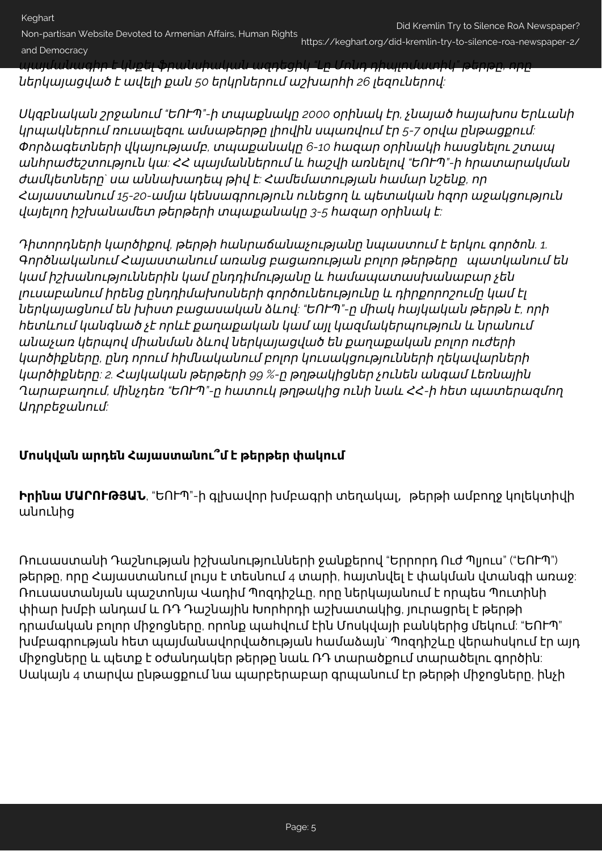Keghart

Non-partisan Website Devoted to Armenian Affairs, Human Rights and Democracy https://keghart.org/did-kremlin-try-to-silence-roa-newspaper-2/

պայմանագիր է կնքել ֆրանսիական ազդեցիկ *"*Լը Մոնդ դիպլոմատիկ*"* թերթը*,* որը ներկայացված է ավելի քան *50* երկրներում աշխարհի *26* լեզուներով*:*

Սկզբնական շրջանում *"*ԵՈՒՊ*"-*ի տպաքնակը *2000* օրինակ էր*,* չնայած հայախոս Երևանի կրպակներում ռուսալեզու ամսաթերթը լիովին սպառվում էր *5-7* օրվա ընթացքում*:* Փորձագետների վկայությամբ*,* տպաքանակը *6-10* հազար օրինակի հասցնելու շտապ անհրաժեշտություն կա*:* ՀՀ պայմաններում և հաշվի առնելով *"*ԵՈՒՊ*"-*ի հրատարակման ժամկետները*`* սա աննախադեպ թիվ է*:* Համեմատության համար նշենք*,* որ Հայաստանում *15-20-*ամյա կենսագրություն ունեցող և պետական հզոր աջակցություն վայելող իշխանամետ թերթերի տպաքանակը *3-5* հազար օրինակ է*:*

Դիտորդների կարծիքով*,* թերթի հանրաճանաչությանը նպաստում է երկու գործոն*. 1.* Գործնականում Հայաստանում առանց բացառության բոլոր թերթերըպատկանում են կամ իշխանություններին կամ ընդդիմությանը և համապատասխանաբար չեն լուսաբանում իրենց ընդդիմախոսների գործունեությունը և դիրքորոշումը կամ էլ ներկայացնում են խիստ բացասական ձևով*: "*ԵՈՒՊ*"-*ը միակ հայկական թերթն է*,* որի հետևում կանգնած չէ որևէ քաղաքական կամ այլ կազմակերպություն և նրանում անաչառ կերպով միանման ձևով ներկայացված են քաղաքական բոլոր ուժերի կարծիքները*,* ընդ որում հիմնականում բոլոր կուսակցությունների ղեկավարների կարծիքները*: 2.* Հայկական թերթերի *99 %-*ը թղթակիցներ չունեն անգամ Լեռնային Ղարաբաղում*,* մինչդեռ *"*ԵՈՒՊ*"-*ը հատուկ թղթակից ունի նաև ՀՀ*-*ի հետ պատերազմող Ադրբեջանում*:*

## **Մոսկվան արդեն Հայաստանու՞մ է թերթեր փակում**

**Իրինա ՄԱՐՈՒԹՅԱՆ**, "ԵՈՒՊ"-ի գլխավոր խմբագրի տեղակալ, թերթի ամբողջ կոլեկտիվի անունից

Ռուսաստանի Դաշնության իշխանությունների ջանքերով "Երրորդ Ուժ Պլյուս" ("ԵՈՒՊ") թերթը, որը Հայաստանում լույս է տեսնում 4 տարի, հայտնվել է փակման վտանգի առաջ: Ռուսաստանյան պաշտոնյա Վադիմ Պոզդիշևը, որը ներկայանում է որպես Պուտինի փիար խմբի անդամ և ՌԴ Դաշնային Խորհրդի աշխատակից, յուրացրել է թերթի դրամական բոլոր միջոցները, որոնք պահվում էին Մոսկվայի բանկերից մեկում: "ԵՈՒՊ" խմբագրության հետ պայմանավորվածության համաձայն` Պոզդիշևը վերահսկում էր այդ միջոցները և պետք է օժանդակեր թերթը նաև ՌԴ տարածքում տարածելու գործին: Սակայն 4 տարվա ընթացքում նա պարբերաբար գրպանում էր թերթի միջոցները, ինչի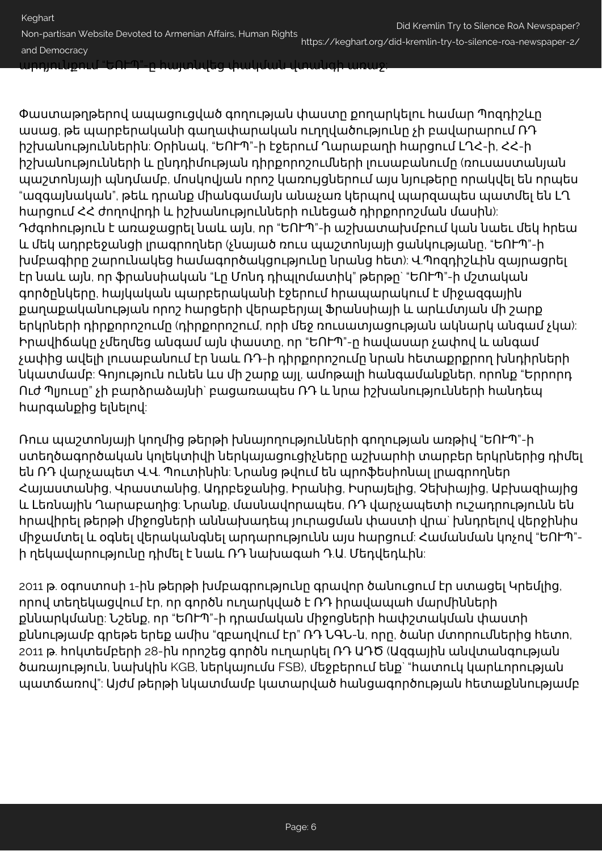արդյունքում "ԵՈՒՊ"-ը հայտնվեց փակման վտանգի առաջ:

Փաստաթղթերով ապացուցված գողության փաստը քողարկելու համար Պոզդիշևը ասաց, թե պարբերականի գաղափարական ուղղվածությունը չի բավարարում ՌԴ իշխանություններին: Օրինակ, "ԵՈՒՊ"-ի էջերում Ղարաբաղի հարցում ԼՂՀ-ի, ՀՀ-ի իշխանությունների և ընդդիմության դիրքորոշումների լուսաբանումը (ռուսաստանյան պաշտոնյայի պնդմամբ, մոսկովյան որոշ կառույցներում այս նյութերը որակվել են որպես "ազգայնական", թեև դրանք միանգամայն անաչառ կերպով պարզապես պատմել են ԼՂ հարցում ՀՀ ժողովրդի և իշխանությունների ունեցած դիրքորոշման մասին): Դժգոհություն է առաջացրել նաև այն, որ "ԵՈՒՊ"-ի աշխատախմբում կան նաեւ մեկ հրեա և մեկ ադրբեջանցի լրագրողներ (չնայած ռուս պաշտոնյայի ցանկությանը, "ԵՈՒՊ"-ի խմբագիրը շարունակեց համագործակցությունը նրանց հետ): Վ.Պոզդիշևին զայրացրել էր նաև այն, որ ֆրանսիական "Լը Մոնդ դիպլոմատիկ" թերթը` "ԵՈՒՊ"-ի մշտական գործընկերը, հայկական պարբերականի էջերում հրապարակում է միջազգային քաղաքականության որոշ հարցերի վերաբերյալ Ֆրանսիայի և արևմտյան մի շարք երկրների դիրքորոշումը (դիրքորոշում, որի մեջ ռուսատյացության ակնարկ անգամ չկա): Իրավիճակը չմեղմեց անգամ այն փաստը, որ "ԵՈՒՊ"-ը հավասար չափով և անգամ չափից ավելի լուսաբանում էր նաև ՌԴ-ի դիրքորոշումը նրան հետաքրքրող խնդիրների նկատմամբ: Գոյություն ունեն ևս մի շարք այլ, ամոթալի հանգամանքներ, որոնք "Երրորդ Ուժ Պլյուսը" չի բարձրաձայնի` բացառապես ՌԴ և նրա իշխանությունների հանդեպ հարգանքից ելնելով:

Ռուս պաշտոնյայի կողմից թերթի խնայողությունների գողության առթիվ "ԵՈՒՊ"-ի ստեղծագործական կոլեկտիվի ներկայացուցիչները աշխարհի տարբեր երկրներից դիմել են ՌԴ վարչապետ Վ.Վ. Պուտինին: Նրանց թվում են պրոֆեսիոնալ լրագրողներ Հայաստանից, Վրաստանից, Ադրբեջանից, Իրանից, Իսրայելից, Չեխիայից, Աբխազիայից և Լեռնային Ղարաբաղից: Նրանք, մասնավորապես, ՌԴ վարչապետի ուշադրությունն են հրավիրել թերթի միջոցների աննախադեպ յուրացման փաստի վրա` խնդրելով վերջինիս միջամտել և օգնել վերականգնել արդարությունն այս հարցում: Համանման կոչով "ԵՈՒՊ" ի ղեկավարությունը դիմել է նաև ՌԴ նախագահ Դ.Ա. Մեդվեդևին:

2011 թ. օգոստոսի 1-ին թերթի խմբագրությունը գրավոր ծանուցում էր ստացել Կրեմլից, որով տեղեկացվում էր, որ գործն ուղարկված է ՌԴ իրավապահ մարմինների քննարկմանը: Նշենք, որ "ԵՈՒՊ"-ի դրամական միջոցների հափշտակման փաստի քննությամբ գրեթե երեք ամիս "զբաղվում էր" ՌԴ ՆԳՆ-ն, որը, ծանր մտորումներից հետո, 2011 թ. հոկտեմբերի 28-ին որոշեց գործն ուղարկել ՌԴ ԱԴԾ (Ազգային անվտանգության ծառայություն, նախկին KGB, ներկայումս FSB), մեջբերում ենք` "հատուկ կարևորության պատճառով": Այժմ թերթի նկատմամբ կատարված հանցագործության հետաքննությամբ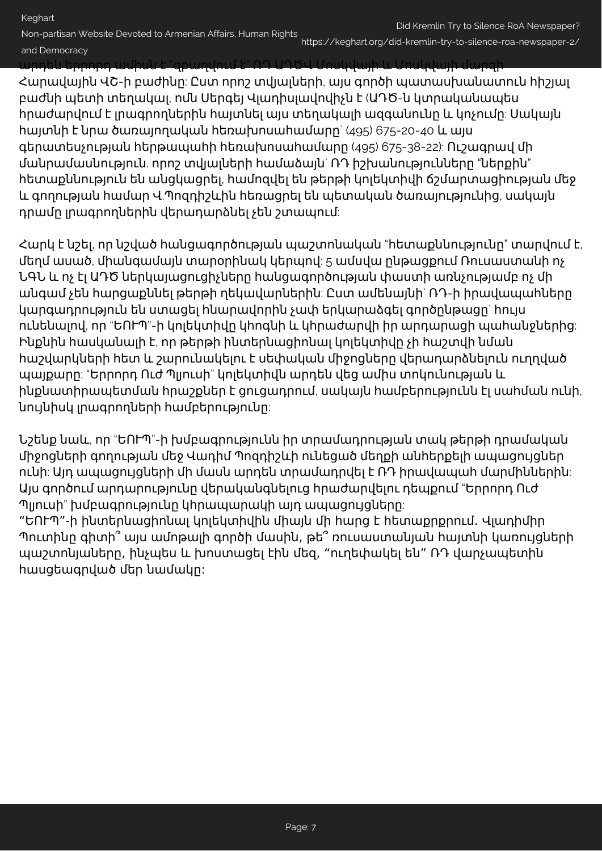## Keghart Non-partisan Website Devoted to Armenian Affairs, Human Rights and Democracy Did Kremlin Try to Silence RoA Newspaper? https://keghart.org/did-kremlin-try-to-silence-roa-newspaper-2/

արդեն երրորդ ամիսն է "զբաղվում է" ՌԴ ԱԴԾՎ Մոսկվայի և Մոսկվայի մարզի

Հարավային ՎՇ-ի բաժինը: Ըստ որոշ տվյալների, այս գործի պատասխանատուն հիշյալ բաժնի պետի տեղակալ, ոմն Սերգեյ Վլադիսլավովիչն է (ԱԴԾ-ն կտրականապես հրաժարվում է լրագրողներին հայտնել այս տեղակալի ազգանունը և կոչումը: Սակայն հայտնի է նրա ծառայողական հեռախոսահամարը` (495) 675-20-40 և այս գերատեսչության հերթապահի հեռախոսահամարը (495) 675-38-22): Ուշագրավ մի մանրամասնություն. որոշ տվյալների համաձայն` ՌԴ իշխանությունները "ներքին" հետաքննություն են անցկացրել, համոզվել են թերթի կոլեկտիվի ճշմարտացիության մեջ և գողության համար Վ.Պոզդիշևին հեռացրել են պետական ծառայությունից, սակայն դրամը լրագրողներին վերադարձնել չեն շտապում:

Հարկ է նշել, որ նշված հանցագործության պաշտոնական "հետաքննությունը" տարվում է, մեղմ ասած, միանգամայն տարօրինակ կերպով: 5 ամսվա ընթացքում Ռուսաստանի ոչ ՆԳՆ և ոչ էլ ԱԴԾ ներկայացուցիչները հանցագործության փաստի առնչությամբ ոչ մի անգամ չեն հարցաքննել թերթի ղեկավարներին: Ըստ ամենայնի` ՌԴ-ի իրավապահները կարգադրություն են ստացել հնարավորին չափ երկարաձգել գործընթացը` հույս ունենալով, որ "ԵՈՒՊ"-ի կոլեկտիվը կհոգնի և կհրաժարվի իր արդարացի պահանջներից: Ինքնին հասկանալի է, որ թերթի ինտերնացիոնալ կոլեկտիվը չի հաշտվի նման հաշվարկների հետ և շարունակելու է սեփական միջոցները վերադարձնելուն ուղղված պայքարը: "Երրորդ Ուժ Պլյուսի" կոլեկտիվն արդեն վեց ամիս տոկունության և ինքնատիրապետման հրաշքներ է ցուցադրում, սակայն համբերությունն էլ սահման ունի, նույնիսկ լրագրողների համբերությունը:

Նշենք նաև, որ "ԵՈՒՊ"-ի խմբագրությունն իր տրամադրության տակ թերթի դրամական միջոցների գողության մեջ Վադիմ Պոզդիշևի ունեցած մեղքի անհերքելի ապացույցներ ունի: Այդ ապացույցների մի մասն արդեն տրամադրվել է ՌԴ իրավապահ մարմիններին: Այս գործում արդարությունը վերականգնելուց հրաժարվելու դեպքում "Երրորդ Ուժ Պլյուսի" խմբագրությունը կհրապարակի այդ ապացույցները:

"ԵՈՒՊ"-ի ինտերնացիոնալ կոլեկտիվին միայն մի հարց է հետաքրքրում. Վլադիմիր Պուտինը գիտի՞ այս ամոթալի գործի մասին, թե՞ ռուսաստանյան հայտնի կառույցների պաշտոնյաները, ինչպես և խոստացել էին մեզ, "ուղեփակել են" ՌԴ վարչապետին հասցեագրված մեր նամակը: